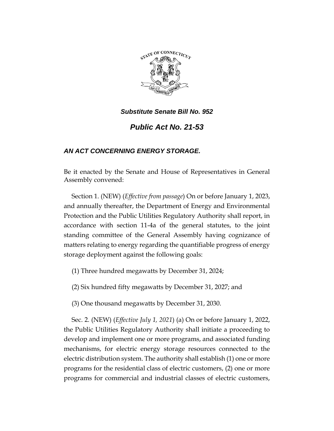

*Public Act No. 21-53*

## *AN ACT CONCERNING ENERGY STORAGE.*

Be it enacted by the Senate and House of Representatives in General Assembly convened:

Section 1. (NEW) (*Effective from passage*) On or before January 1, 2023, and annually thereafter, the Department of Energy and Environmental Protection and the Public Utilities Regulatory Authority shall report, in accordance with section 11-4a of the general statutes, to the joint standing committee of the General Assembly having cognizance of matters relating to energy regarding the quantifiable progress of energy storage deployment against the following goals:

(1) Three hundred megawatts by December 31, 2024;

(2) Six hundred fifty megawatts by December 31, 2027; and

(3) One thousand megawatts by December 31, 2030.

Sec. 2. (NEW) (*Effective July 1, 2021*) (a) On or before January 1, 2022, the Public Utilities Regulatory Authority shall initiate a proceeding to develop and implement one or more programs, and associated funding mechanisms, for electric energy storage resources connected to the electric distribution system. The authority shall establish (1) one or more programs for the residential class of electric customers, (2) one or more programs for commercial and industrial classes of electric customers,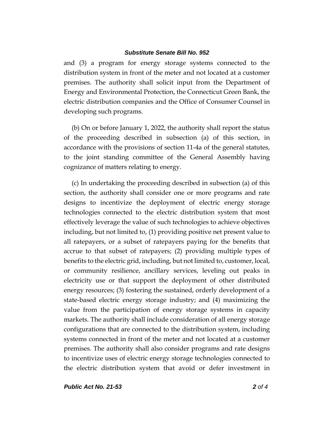and (3) a program for energy storage systems connected to the distribution system in front of the meter and not located at a customer premises. The authority shall solicit input from the Department of Energy and Environmental Protection, the Connecticut Green Bank, the electric distribution companies and the Office of Consumer Counsel in developing such programs.

(b) On or before January 1, 2022, the authority shall report the status of the proceeding described in subsection (a) of this section, in accordance with the provisions of section 11-4a of the general statutes, to the joint standing committee of the General Assembly having cognizance of matters relating to energy.

(c) In undertaking the proceeding described in subsection (a) of this section, the authority shall consider one or more programs and rate designs to incentivize the deployment of electric energy storage technologies connected to the electric distribution system that most effectively leverage the value of such technologies to achieve objectives including, but not limited to, (1) providing positive net present value to all ratepayers, or a subset of ratepayers paying for the benefits that accrue to that subset of ratepayers; (2) providing multiple types of benefits to the electric grid, including, but not limited to, customer, local, or community resilience, ancillary services, leveling out peaks in electricity use or that support the deployment of other distributed energy resources; (3) fostering the sustained, orderly development of a state-based electric energy storage industry; and (4) maximizing the value from the participation of energy storage systems in capacity markets. The authority shall include consideration of all energy storage configurations that are connected to the distribution system, including systems connected in front of the meter and not located at a customer premises. The authority shall also consider programs and rate designs to incentivize uses of electric energy storage technologies connected to the electric distribution system that avoid or defer investment in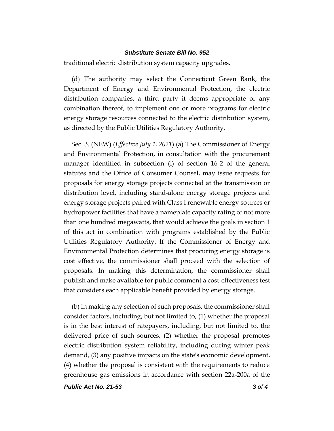traditional electric distribution system capacity upgrades.

(d) The authority may select the Connecticut Green Bank, the Department of Energy and Environmental Protection, the electric distribution companies, a third party it deems appropriate or any combination thereof, to implement one or more programs for electric energy storage resources connected to the electric distribution system, as directed by the Public Utilities Regulatory Authority.

Sec. 3. (NEW) (*Effective July 1, 2021*) (a) The Commissioner of Energy and Environmental Protection, in consultation with the procurement manager identified in subsection (l) of section 16-2 of the general statutes and the Office of Consumer Counsel, may issue requests for proposals for energy storage projects connected at the transmission or distribution level, including stand-alone energy storage projects and energy storage projects paired with Class I renewable energy sources or hydropower facilities that have a nameplate capacity rating of not more than one hundred megawatts, that would achieve the goals in section 1 of this act in combination with programs established by the Public Utilities Regulatory Authority. If the Commissioner of Energy and Environmental Protection determines that procuring energy storage is cost effective, the commissioner shall proceed with the selection of proposals. In making this determination, the commissioner shall publish and make available for public comment a cost-effectiveness test that considers each applicable benefit provided by energy storage.

(b) In making any selection of such proposals, the commissioner shall consider factors, including, but not limited to, (1) whether the proposal is in the best interest of ratepayers, including, but not limited to, the delivered price of such sources, (2) whether the proposal promotes electric distribution system reliability, including during winter peak demand, (3) any positive impacts on the state's economic development, (4) whether the proposal is consistent with the requirements to reduce greenhouse gas emissions in accordance with section 22a-200a of the

*Public Act No. 21-53 3 of 4*